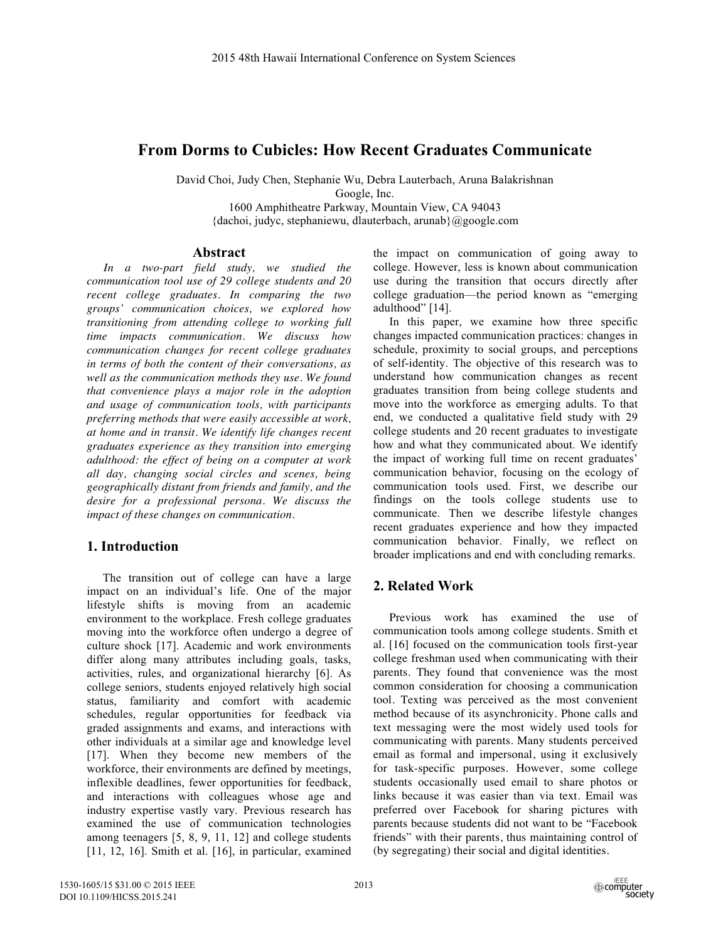# **From Dorms to Cubicles: How Recent Graduates Communicate**

David Choi, Judy Chen, Stephanie Wu, Debra Lauterbach, Aruna Balakrishnan Google, Inc.

1600 Amphitheatre Parkway, Mountain View, CA 94043 {dachoi, judyc, stephaniewu, dlauterbach, arunab}@google.com

#### **Abstract**

*In a two-part field study, we studied the communication tool use of 29 college students and 20 recent college graduates. In comparing the two groups' communication choices, we explored how transitioning from attending college to working full time impacts communication. We discuss how communication changes for recent college graduates in terms of both the content of their conversations, as well as the communication methods they use. We found that convenience plays a major role in the adoption and usage of communication tools, with participants preferring methods that were easily accessible at work, at home and in transit. We identify life changes recent graduates experience as they transition into emerging adulthood: the effect of being on a computer at work all day, changing social circles and scenes, being geographically distant from friends and family, and the desire for a professional persona. We discuss the impact of these changes on communication.* 

#### **1. Introduction**

The transition out of college can have a large impact on an individual's life. One of the major lifestyle shifts is moving from an academic environment to the workplace. Fresh college graduates moving into the workforce often undergo a degree of culture shock [17]. Academic and work environments differ along many attributes including goals, tasks, activities, rules, and organizational hierarchy [6]. As college seniors, students enjoyed relatively high social status, familiarity and comfort with academic schedules, regular opportunities for feedback via graded assignments and exams, and interactions with other individuals at a similar age and knowledge level [17]. When they become new members of the workforce, their environments are defined by meetings, inflexible deadlines, fewer opportunities for feedback, and interactions with colleagues whose age and industry expertise vastly vary. Previous research has examined the use of communication technologies among teenagers [5, 8, 9, 11, 12] and college students [11, 12, 16]. Smith et al. [16], in particular, examined

the impact on communication of going away to college. However, less is known about communication use during the transition that occurs directly after college graduation—the period known as "emerging adulthood" [14].

In this paper, we examine how three specific changes impacted communication practices: changes in schedule, proximity to social groups, and perceptions of self-identity. The objective of this research was to understand how communication changes as recent graduates transition from being college students and move into the workforce as emerging adults. To that end, we conducted a qualitative field study with 29 college students and 20 recent graduates to investigate how and what they communicated about. We identify the impact of working full time on recent graduates' communication behavior, focusing on the ecology of communication tools used. First, we describe our findings on the tools college students use to communicate. Then we describe lifestyle changes recent graduates experience and how they impacted communication behavior. Finally, we reflect on broader implications and end with concluding remarks.

## **2. Related Work**

Previous work has examined the use of communication tools among college students. Smith et al. [16] focused on the communication tools first-year college freshman used when communicating with their parents. They found that convenience was the most common consideration for choosing a communication tool. Texting was perceived as the most convenient method because of its asynchronicity. Phone calls and text messaging were the most widely used tools for communicating with parents. Many students perceived email as formal and impersonal, using it exclusively for task-specific purposes. However, some college students occasionally used email to share photos or links because it was easier than via text. Email was preferred over Facebook for sharing pictures with parents because students did not want to be "Facebook friends" with their parents, thus maintaining control of (by segregating) their social and digital identities.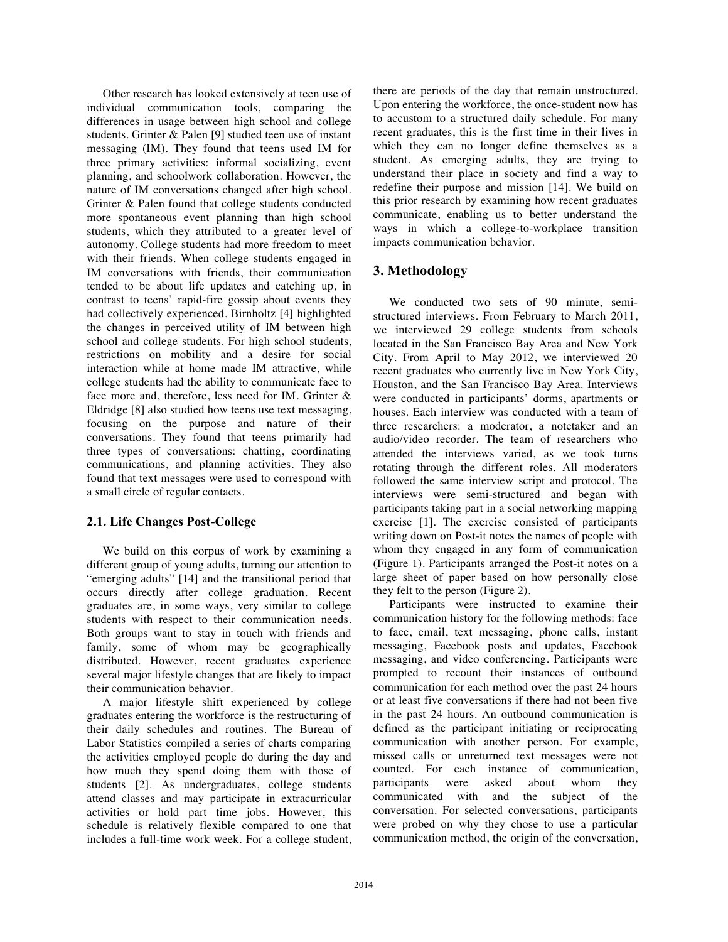Other research has looked extensively at teen use of individual communication tools, comparing the differences in usage between high school and college students. Grinter & Palen [9] studied teen use of instant messaging (IM). They found that teens used IM for three primary activities: informal socializing, event planning, and schoolwork collaboration. However, the nature of IM conversations changed after high school. Grinter & Palen found that college students conducted more spontaneous event planning than high school students, which they attributed to a greater level of autonomy. College students had more freedom to meet with their friends. When college students engaged in IM conversations with friends, their communication tended to be about life updates and catching up, in contrast to teens' rapid-fire gossip about events they had collectively experienced. Birnholtz [4] highlighted the changes in perceived utility of IM between high school and college students. For high school students, restrictions on mobility and a desire for social interaction while at home made IM attractive, while college students had the ability to communicate face to face more and, therefore, less need for IM. Grinter & Eldridge [8] also studied how teens use text messaging, focusing on the purpose and nature of their conversations. They found that teens primarily had three types of conversations: chatting, coordinating communications, and planning activities. They also found that text messages were used to correspond with a small circle of regular contacts.

## **2.1. Life Changes Post-College**

We build on this corpus of work by examining a different group of young adults, turning our attention to "emerging adults" [14] and the transitional period that occurs directly after college graduation. Recent graduates are, in some ways, very similar to college students with respect to their communication needs. Both groups want to stay in touch with friends and family, some of whom may be geographically distributed. However, recent graduates experience several major lifestyle changes that are likely to impact their communication behavior.

A major lifestyle shift experienced by college graduates entering the workforce is the restructuring of their daily schedules and routines. The Bureau of Labor Statistics compiled a series of charts comparing the activities employed people do during the day and how much they spend doing them with those of students [2]. As undergraduates, college students attend classes and may participate in extracurricular activities or hold part time jobs. However, this schedule is relatively flexible compared to one that includes a full-time work week. For a college student, there are periods of the day that remain unstructured. Upon entering the workforce, the once-student now has to accustom to a structured daily schedule. For many recent graduates, this is the first time in their lives in which they can no longer define themselves as a student. As emerging adults, they are trying to understand their place in society and find a way to redefine their purpose and mission [14]. We build on this prior research by examining how recent graduates communicate, enabling us to better understand the ways in which a college-to-workplace transition impacts communication behavior.

# **3. Methodology**

We conducted two sets of 90 minute, semistructured interviews. From February to March 2011, we interviewed 29 college students from schools located in the San Francisco Bay Area and New York City. From April to May 2012, we interviewed 20 recent graduates who currently live in New York City, Houston, and the San Francisco Bay Area. Interviews were conducted in participants' dorms, apartments or houses. Each interview was conducted with a team of three researchers: a moderator, a notetaker and an audio/video recorder. The team of researchers who attended the interviews varied, as we took turns rotating through the different roles. All moderators followed the same interview script and protocol. The interviews were semi-structured and began with participants taking part in a social networking mapping exercise [1]. The exercise consisted of participants writing down on Post-it notes the names of people with whom they engaged in any form of communication (Figure 1). Participants arranged the Post-it notes on a large sheet of paper based on how personally close they felt to the person (Figure 2).

Participants were instructed to examine their communication history for the following methods: face to face, email, text messaging, phone calls, instant messaging, Facebook posts and updates, Facebook messaging, and video conferencing. Participants were prompted to recount their instances of outbound communication for each method over the past 24 hours or at least five conversations if there had not been five in the past 24 hours. An outbound communication is defined as the participant initiating or reciprocating communication with another person. For example, missed calls or unreturned text messages were not counted. For each instance of communication, participants were asked about whom they communicated with and the subject of the conversation. For selected conversations, participants were probed on why they chose to use a particular communication method, the origin of the conversation,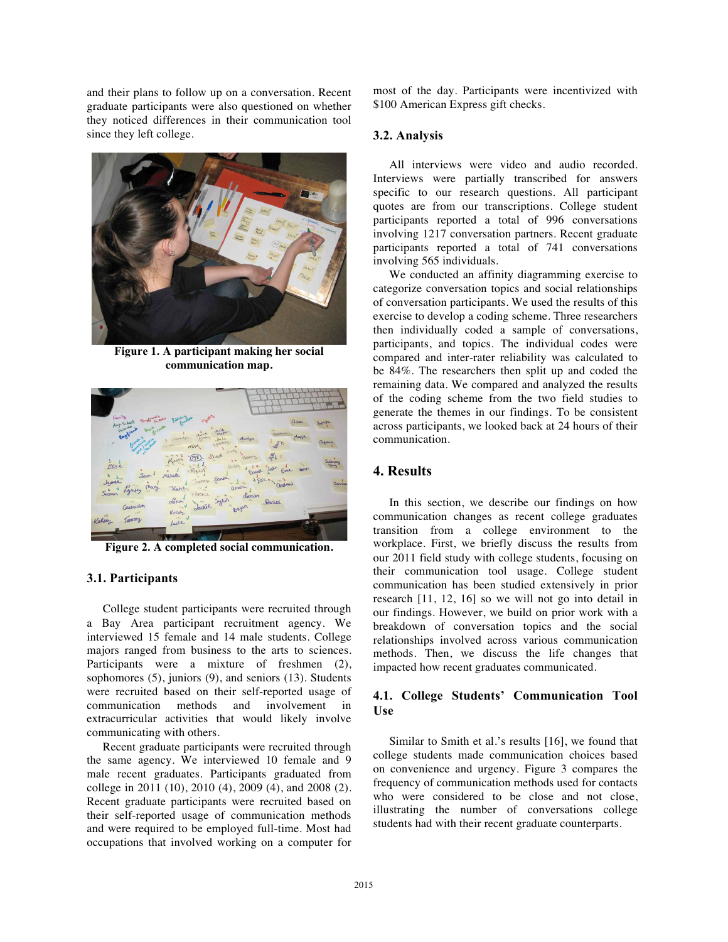and their plans to follow up on a conversation. Recent graduate participants were also questioned on whether they noticed differences in their communication tool since they left college.



**Figure 1. A participant making her social communication map.** 



**Figure 2. A completed social communication.** 

#### **3.1. Participants**

College student participants were recruited through a Bay Area participant recruitment agency. We interviewed 15 female and 14 male students. College majors ranged from business to the arts to sciences. Participants were a mixture of freshmen (2), sophomores (5), juniors (9), and seniors (13). Students were recruited based on their self-reported usage of communication methods and involvement in extracurricular activities that would likely involve communicating with others.

Recent graduate participants were recruited through the same agency. We interviewed 10 female and 9 male recent graduates. Participants graduated from college in 2011 (10), 2010 (4), 2009 (4), and 2008 (2). Recent graduate participants were recruited based on their self-reported usage of communication methods and were required to be employed full-time. Most had occupations that involved working on a computer for

most of the day. Participants were incentivized with \$100 American Express gift checks.

#### **3.2. Analysis**

All interviews were video and audio recorded. Interviews were partially transcribed for answers specific to our research questions. All participant quotes are from our transcriptions. College student participants reported a total of 996 conversations involving 1217 conversation partners. Recent graduate participants reported a total of 741 conversations involving 565 individuals.

We conducted an affinity diagramming exercise to categorize conversation topics and social relationships of conversation participants. We used the results of this exercise to develop a coding scheme. Three researchers then individually coded a sample of conversations, participants, and topics. The individual codes were compared and inter-rater reliability was calculated to be 84%. The researchers then split up and coded the remaining data. We compared and analyzed the results of the coding scheme from the two field studies to generate the themes in our findings. To be consistent across participants, we looked back at 24 hours of their communication.

## **4. Results**

In this section, we describe our findings on how communication changes as recent college graduates transition from a college environment to the workplace. First, we briefly discuss the results from our 2011 field study with college students, focusing on their communication tool usage. College student communication has been studied extensively in prior research [11, 12, 16] so we will not go into detail in our findings. However, we build on prior work with a breakdown of conversation topics and the social relationships involved across various communication methods. Then, we discuss the life changes that impacted how recent graduates communicated.

## **4.1. College Students' Communication Tool Use**

Similar to Smith et al.'s results [16], we found that college students made communication choices based on convenience and urgency. Figure 3 compares the frequency of communication methods used for contacts who were considered to be close and not close, illustrating the number of conversations college students had with their recent graduate counterparts.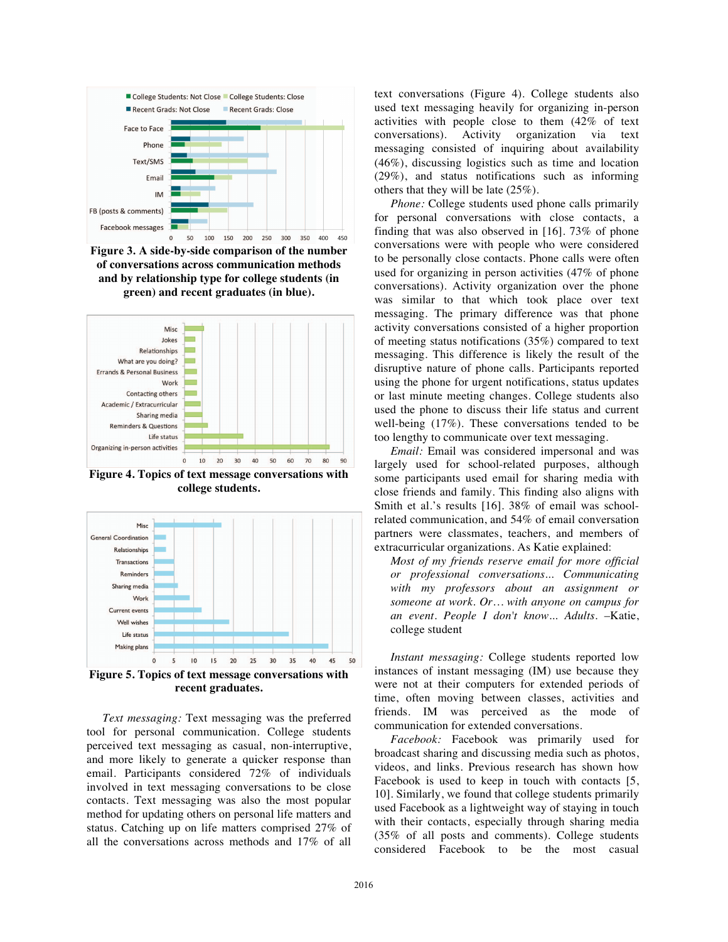

**Figure 3. A side-by-side comparison of the number of conversations across communication methods and by relationship type for college students (in green) and recent graduates (in blue).** 



**Figure 4. Topics of text message conversations with college students.** 



**Figure 5. Topics of text message conversations with recent graduates.** 

*Text messaging:* Text messaging was the preferred tool for personal communication. College students perceived text messaging as casual, non-interruptive, and more likely to generate a quicker response than email. Participants considered 72% of individuals involved in text messaging conversations to be close contacts. Text messaging was also the most popular method for updating others on personal life matters and status. Catching up on life matters comprised 27% of all the conversations across methods and 17% of all

text conversations (Figure 4). College students also used text messaging heavily for organizing in-person activities with people close to them (42% of text conversations). Activity organization via text messaging consisted of inquiring about availability (46%), discussing logistics such as time and location (29%), and status notifications such as informing others that they will be late (25%).

*Phone:* College students used phone calls primarily for personal conversations with close contacts, a finding that was also observed in [16]. 73% of phone conversations were with people who were considered to be personally close contacts. Phone calls were often used for organizing in person activities (47% of phone conversations). Activity organization over the phone was similar to that which took place over text messaging. The primary difference was that phone activity conversations consisted of a higher proportion of meeting status notifications (35%) compared to text messaging. This difference is likely the result of the disruptive nature of phone calls. Participants reported using the phone for urgent notifications, status updates or last minute meeting changes. College students also used the phone to discuss their life status and current well-being (17%). These conversations tended to be too lengthy to communicate over text messaging.

*Email:* Email was considered impersonal and was largely used for school-related purposes, although some participants used email for sharing media with close friends and family. This finding also aligns with Smith et al.'s results [16]. 38% of email was schoolrelated communication, and 54% of email conversation partners were classmates, teachers, and members of extracurricular organizations. As Katie explained:

*Most of my friends reserve email for more official or professional conversations... Communicating with my professors about an assignment or someone at work. Or… with anyone on campus for an event. People I don't know... Adults.* –Katie, college student

*Instant messaging:* College students reported low instances of instant messaging (IM) use because they were not at their computers for extended periods of time, often moving between classes, activities and friends. IM was perceived as the mode of communication for extended conversations.

*Facebook:* Facebook was primarily used for broadcast sharing and discussing media such as photos, videos, and links. Previous research has shown how Facebook is used to keep in touch with contacts [5, 10]. Similarly, we found that college students primarily used Facebook as a lightweight way of staying in touch with their contacts, especially through sharing media (35% of all posts and comments). College students considered Facebook to be the most casual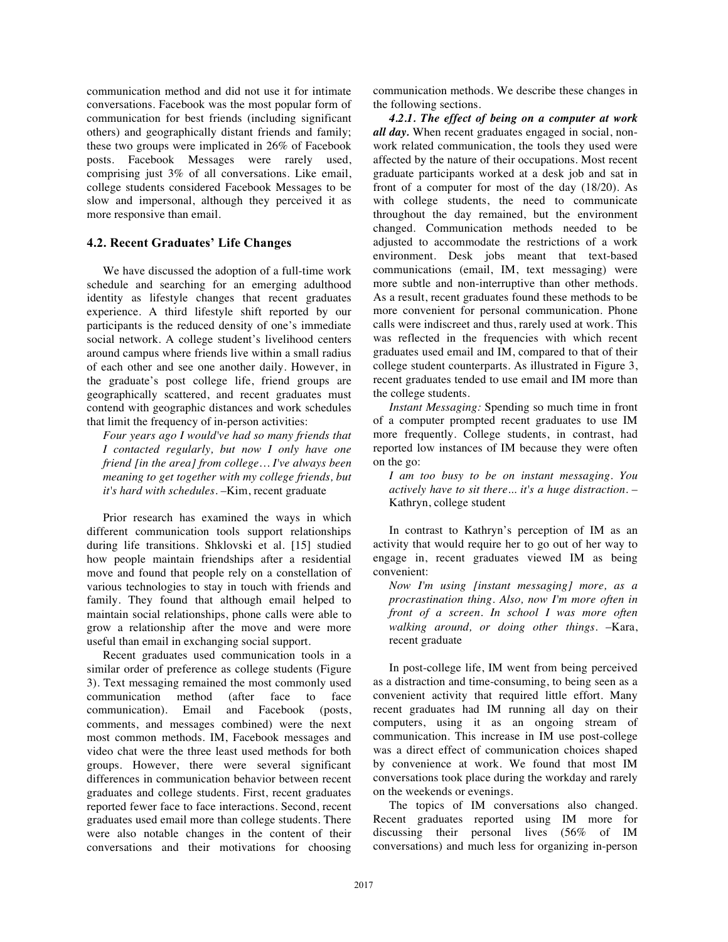communication method and did not use it for intimate conversations. Facebook was the most popular form of communication for best friends (including significant others) and geographically distant friends and family; these two groups were implicated in 26% of Facebook posts. Facebook Messages were rarely used, comprising just 3% of all conversations. Like email, college students considered Facebook Messages to be slow and impersonal, although they perceived it as more responsive than email.

## **4.2. Recent Graduates' Life Changes**

We have discussed the adoption of a full-time work schedule and searching for an emerging adulthood identity as lifestyle changes that recent graduates experience. A third lifestyle shift reported by our participants is the reduced density of one's immediate social network. A college student's livelihood centers around campus where friends live within a small radius of each other and see one another daily. However, in the graduate's post college life, friend groups are geographically scattered, and recent graduates must contend with geographic distances and work schedules that limit the frequency of in-person activities:

*Four years ago I would've had so many friends that I contacted regularly, but now I only have one friend [in the area] from college… I've always been meaning to get together with my college friends, but it's hard with schedules.* –Kim, recent graduate

Prior research has examined the ways in which different communication tools support relationships during life transitions. Shklovski et al. [15] studied how people maintain friendships after a residential move and found that people rely on a constellation of various technologies to stay in touch with friends and family. They found that although email helped to maintain social relationships, phone calls were able to grow a relationship after the move and were more useful than email in exchanging social support.

Recent graduates used communication tools in a similar order of preference as college students (Figure 3). Text messaging remained the most commonly used communication method (after face to face communication). Email and Facebook (posts, comments, and messages combined) were the next most common methods. IM, Facebook messages and video chat were the three least used methods for both groups. However, there were several significant differences in communication behavior between recent graduates and college students. First, recent graduates reported fewer face to face interactions. Second, recent graduates used email more than college students. There were also notable changes in the content of their conversations and their motivations for choosing communication methods. We describe these changes in the following sections.

*4.2.1. The effect of being on a computer at work all day.* When recent graduates engaged in social, nonwork related communication, the tools they used were affected by the nature of their occupations. Most recent graduate participants worked at a desk job and sat in front of a computer for most of the day (18/20). As with college students, the need to communicate throughout the day remained, but the environment changed. Communication methods needed to be adjusted to accommodate the restrictions of a work environment. Desk jobs meant that text-based communications (email, IM, text messaging) were more subtle and non-interruptive than other methods. As a result, recent graduates found these methods to be more convenient for personal communication. Phone calls were indiscreet and thus, rarely used at work. This was reflected in the frequencies with which recent graduates used email and IM, compared to that of their college student counterparts. As illustrated in Figure 3, recent graduates tended to use email and IM more than the college students.

*Instant Messaging:* Spending so much time in front of a computer prompted recent graduates to use IM more frequently. College students, in contrast, had reported low instances of IM because they were often on the go:

*I am too busy to be on instant messaging. You actively have to sit there... it's a huge distraction.* – Kathryn, college student

In contrast to Kathryn's perception of IM as an activity that would require her to go out of her way to engage in, recent graduates viewed IM as being convenient:

*Now I'm using [instant messaging] more, as a procrastination thing. Also, now I'm more often in front of a screen. In school I was more often walking around, or doing other things.* –Kara, recent graduate

In post-college life, IM went from being perceived as a distraction and time-consuming, to being seen as a convenient activity that required little effort. Many recent graduates had IM running all day on their computers, using it as an ongoing stream of communication. This increase in IM use post-college was a direct effect of communication choices shaped by convenience at work. We found that most IM conversations took place during the workday and rarely on the weekends or evenings.

The topics of IM conversations also changed. Recent graduates reported using IM more for discussing their personal lives (56% of IM conversations) and much less for organizing in-person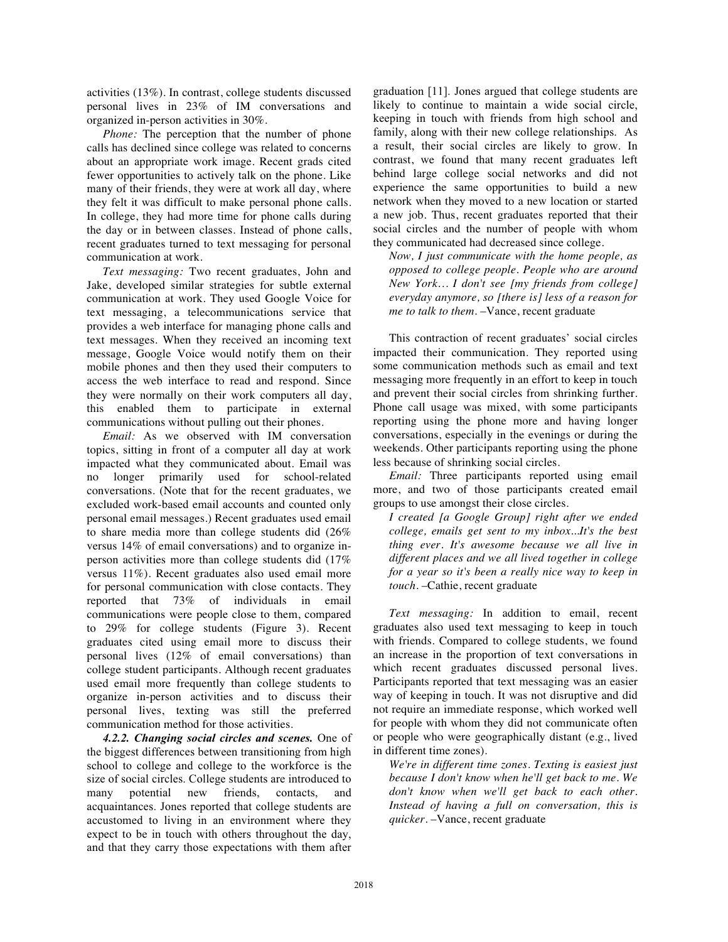activities (13%). In contrast, college students discussed personal lives in 23% of IM conversations and organized in-person activities in 30%.

*Phone:* The perception that the number of phone calls has declined since college was related to concerns about an appropriate work image. Recent grads cited fewer opportunities to actively talk on the phone. Like many of their friends, they were at work all day, where they felt it was difficult to make personal phone calls. In college, they had more time for phone calls during the day or in between classes. Instead of phone calls, recent graduates turned to text messaging for personal communication at work.

*Text messaging:* Two recent graduates, John and Jake, developed similar strategies for subtle external communication at work. They used Google Voice for text messaging, a telecommunications service that provides a web interface for managing phone calls and text messages. When they received an incoming text message, Google Voice would notify them on their mobile phones and then they used their computers to access the web interface to read and respond. Since they were normally on their work computers all day, this enabled them to participate in external communications without pulling out their phones.

*Email:* As we observed with IM conversation topics, sitting in front of a computer all day at work impacted what they communicated about. Email was no longer primarily used for school-related conversations. (Note that for the recent graduates, we excluded work-based email accounts and counted only personal email messages.) Recent graduates used email to share media more than college students did (26% versus 14% of email conversations) and to organize inperson activities more than college students did (17% versus 11%). Recent graduates also used email more for personal communication with close contacts. They reported that 73% of individuals in email communications were people close to them, compared to 29% for college students (Figure 3). Recent graduates cited using email more to discuss their personal lives (12% of email conversations) than college student participants. Although recent graduates used email more frequently than college students to organize in-person activities and to discuss their personal lives, texting was still the preferred communication method for those activities.

*4.2.2. Changing social circles and scenes.* One of the biggest differences between transitioning from high school to college and college to the workforce is the size of social circles. College students are introduced to many potential new friends, contacts, and acquaintances. Jones reported that college students are accustomed to living in an environment where they expect to be in touch with others throughout the day, and that they carry those expectations with them after

graduation [11]. Jones argued that college students are likely to continue to maintain a wide social circle, keeping in touch with friends from high school and family, along with their new college relationships. As a result, their social circles are likely to grow. In contrast, we found that many recent graduates left behind large college social networks and did not experience the same opportunities to build a new network when they moved to a new location or started a new job. Thus, recent graduates reported that their social circles and the number of people with whom they communicated had decreased since college.

*Now, I just communicate with the home people, as opposed to college people. People who are around New York… I don't see [my friends from college] everyday anymore, so [there is] less of a reason for me to talk to them.* –Vance, recent graduate

This contraction of recent graduates' social circles impacted their communication. They reported using some communication methods such as email and text messaging more frequently in an effort to keep in touch and prevent their social circles from shrinking further. Phone call usage was mixed, with some participants reporting using the phone more and having longer conversations, especially in the evenings or during the weekends. Other participants reporting using the phone less because of shrinking social circles.

*Email:* Three participants reported using email more, and two of those participants created email groups to use amongst their close circles.

*I created [a Google Group] right after we ended college, emails get sent to my inbox...It's the best thing ever. It's awesome because we all live in different places and we all lived together in college for a year so it's been a really nice way to keep in touch.* –Cathie, recent graduate

*Text messaging:* In addition to email, recent graduates also used text messaging to keep in touch with friends. Compared to college students, we found an increase in the proportion of text conversations in which recent graduates discussed personal lives. Participants reported that text messaging was an easier way of keeping in touch. It was not disruptive and did not require an immediate response, which worked well for people with whom they did not communicate often or people who were geographically distant (e.g., lived in different time zones).

*We're in different time zones. Texting is easiest just because I don't know when he'll get back to me. We don't know when we'll get back to each other. Instead of having a full on conversation, this is quicker.* –Vance, recent graduate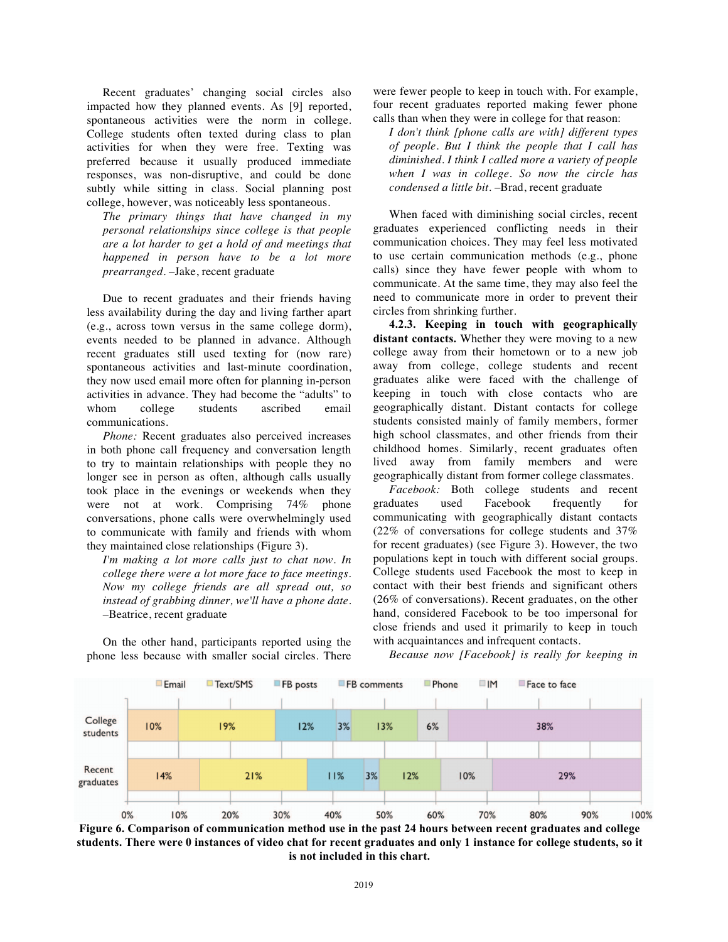Recent graduates' changing social circles also impacted how they planned events. As [9] reported, spontaneous activities were the norm in college. College students often texted during class to plan activities for when they were free. Texting was preferred because it usually produced immediate responses, was non-disruptive, and could be done subtly while sitting in class. Social planning post college, however, was noticeably less spontaneous.

*The primary things that have changed in my personal relationships since college is that people are a lot harder to get a hold of and meetings that happened in person have to be a lot more prearranged.* –Jake, recent graduate

Due to recent graduates and their friends having less availability during the day and living farther apart (e.g., across town versus in the same college dorm), events needed to be planned in advance. Although recent graduates still used texting for (now rare) spontaneous activities and last-minute coordination, they now used email more often for planning in-person activities in advance. They had become the "adults" to whom college students ascribed email communications.

*Phone:* Recent graduates also perceived increases in both phone call frequency and conversation length to try to maintain relationships with people they no longer see in person as often, although calls usually took place in the evenings or weekends when they were not at work. Comprising 74% phone conversations, phone calls were overwhelmingly used to communicate with family and friends with whom they maintained close relationships (Figure 3).

*I'm making a lot more calls just to chat now. In college there were a lot more face to face meetings. Now my college friends are all spread out, so instead of grabbing dinner, we'll have a phone date.* –Beatrice, recent graduate

On the other hand, participants reported using the phone less because with smaller social circles. There

were fewer people to keep in touch with. For example, four recent graduates reported making fewer phone calls than when they were in college for that reason:

*I don't think [phone calls are with] different types of people. But I think the people that I call has diminished. I think I called more a variety of people when I was in college. So now the circle has condensed a little bit.* –Brad, recent graduate

When faced with diminishing social circles, recent graduates experienced conflicting needs in their communication choices. They may feel less motivated to use certain communication methods (e.g., phone calls) since they have fewer people with whom to communicate. At the same time, they may also feel the need to communicate more in order to prevent their circles from shrinking further.

**4.2.3. Keeping in touch with geographically distant contacts.** Whether they were moving to a new college away from their hometown or to a new job away from college, college students and recent graduates alike were faced with the challenge of keeping in touch with close contacts who are geographically distant. Distant contacts for college students consisted mainly of family members, former high school classmates, and other friends from their childhood homes. Similarly, recent graduates often lived away from family members and were geographically distant from former college classmates.

*Facebook:* Both college students and recent duates used Facebook frequently for graduates used Facebook frequently for communicating with geographically distant contacts (22% of conversations for college students and 37% for recent graduates) (see Figure 3). However, the two populations kept in touch with different social groups. College students used Facebook the most to keep in contact with their best friends and significant others (26% of conversations). Recent graduates, on the other hand, considered Facebook to be too impersonal for close friends and used it primarily to keep in touch with acquaintances and infrequent contacts.

*Because now [Facebook] is really for keeping in* 



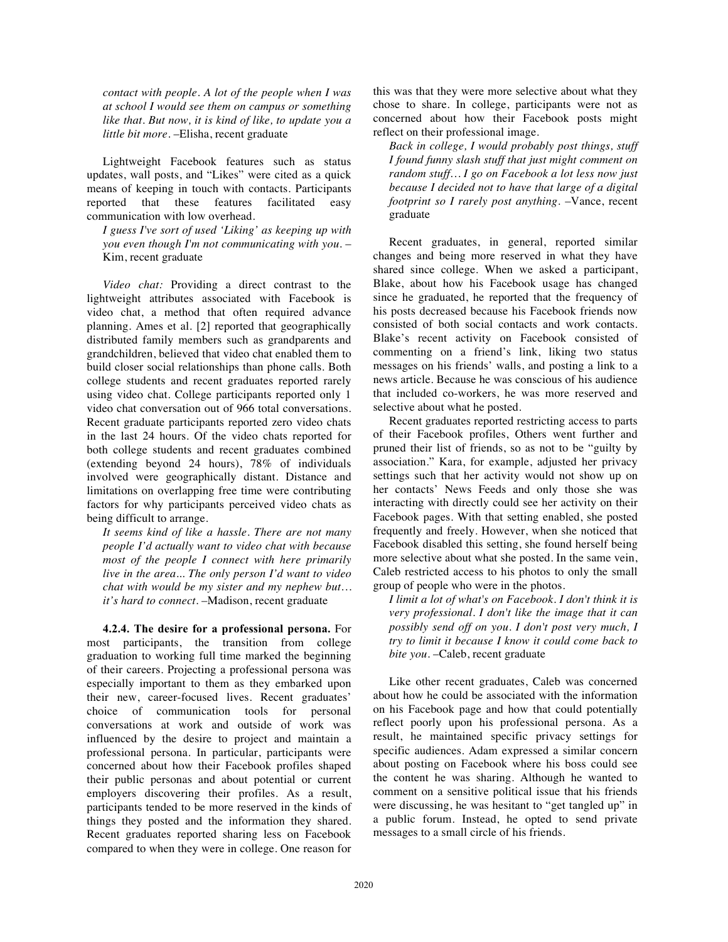*contact with people. A lot of the people when I was at school I would see them on campus or something like that. But now, it is kind of like, to update you a little bit more.* –Elisha, recent graduate

Lightweight Facebook features such as status updates, wall posts, and "Likes" were cited as a quick means of keeping in touch with contacts. Participants<br>reported that these features facilitated easy reported that these communication with low overhead.

*I guess I've sort of used 'Liking' as keeping up with you even though I'm not communicating with you.* – Kim, recent graduate

*Video chat:* Providing a direct contrast to the lightweight attributes associated with Facebook is video chat, a method that often required advance planning. Ames et al. [2] reported that geographically distributed family members such as grandparents and grandchildren, believed that video chat enabled them to build closer social relationships than phone calls. Both college students and recent graduates reported rarely using video chat. College participants reported only 1 video chat conversation out of 966 total conversations. Recent graduate participants reported zero video chats in the last 24 hours. Of the video chats reported for both college students and recent graduates combined (extending beyond 24 hours), 78% of individuals involved were geographically distant. Distance and limitations on overlapping free time were contributing factors for why participants perceived video chats as being difficult to arrange.

*It seems kind of like a hassle. There are not many people I'd actually want to video chat with because most of the people I connect with here primarily live in the area... The only person I'd want to video chat with would be my sister and my nephew but… it's hard to connect.* –Madison, recent graduate

**4.2.4. The desire for a professional persona.** For most participants, the transition from college graduation to working full time marked the beginning of their careers. Projecting a professional persona was especially important to them as they embarked upon their new, career-focused lives. Recent graduates' choice of communication tools for personal conversations at work and outside of work was influenced by the desire to project and maintain a professional persona. In particular, participants were concerned about how their Facebook profiles shaped their public personas and about potential or current employers discovering their profiles. As a result, participants tended to be more reserved in the kinds of things they posted and the information they shared. Recent graduates reported sharing less on Facebook compared to when they were in college. One reason for

this was that they were more selective about what they chose to share. In college, participants were not as concerned about how their Facebook posts might reflect on their professional image.

*Back in college, I would probably post things, stuff I found funny slash stuff that just might comment on random stuff… I go on Facebook a lot less now just because I decided not to have that large of a digital footprint so I rarely post anything.* –Vance, recent graduate

Recent graduates, in general, reported similar changes and being more reserved in what they have shared since college. When we asked a participant, Blake, about how his Facebook usage has changed since he graduated, he reported that the frequency of his posts decreased because his Facebook friends now consisted of both social contacts and work contacts. Blake's recent activity on Facebook consisted of commenting on a friend's link, liking two status messages on his friends' walls, and posting a link to a news article. Because he was conscious of his audience that included co-workers, he was more reserved and selective about what he posted.

Recent graduates reported restricting access to parts of their Facebook profiles, Others went further and pruned their list of friends, so as not to be "guilty by association." Kara, for example, adjusted her privacy settings such that her activity would not show up on her contacts' News Feeds and only those she was interacting with directly could see her activity on their Facebook pages. With that setting enabled, she posted frequently and freely. However, when she noticed that Facebook disabled this setting, she found herself being more selective about what she posted. In the same vein, Caleb restricted access to his photos to only the small group of people who were in the photos.

*I limit a lot of what's on Facebook. I don't think it is very professional. I don't like the image that it can possibly send off on you. I don't post very much, I try to limit it because I know it could come back to bite you.* –Caleb, recent graduate

Like other recent graduates, Caleb was concerned about how he could be associated with the information on his Facebook page and how that could potentially reflect poorly upon his professional persona. As a result, he maintained specific privacy settings for specific audiences. Adam expressed a similar concern about posting on Facebook where his boss could see the content he was sharing. Although he wanted to comment on a sensitive political issue that his friends were discussing, he was hesitant to "get tangled up" in a public forum. Instead, he opted to send private messages to a small circle of his friends.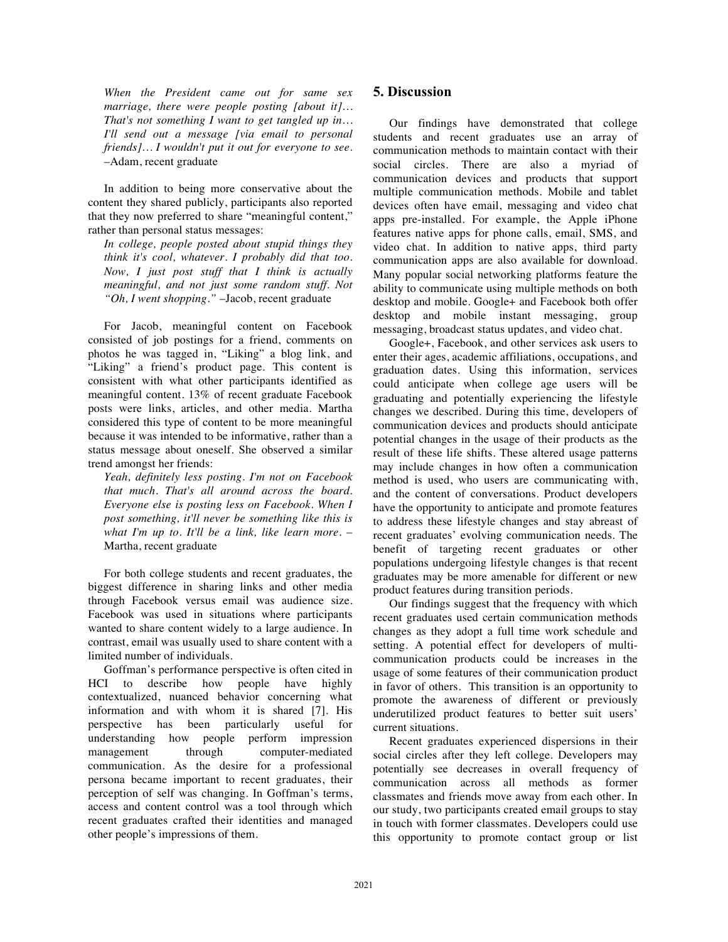*When the President came out for same sex marriage, there were people posting [about it]… That's not something I want to get tangled up in… I'll send out a message [via email to personal friends]… I wouldn't put it out for everyone to see.* –Adam, recent graduate

In addition to being more conservative about the content they shared publicly, participants also reported that they now preferred to share "meaningful content," rather than personal status messages:

*In college, people posted about stupid things they think it's cool, whatever. I probably did that too. Now, I just post stuff that I think is actually meaningful, and not just some random stuff. Not "Oh, I went shopping."* –Jacob, recent graduate

For Jacob, meaningful content on Facebook consisted of job postings for a friend, comments on photos he was tagged in, "Liking" a blog link, and "Liking" a friend's product page. This content is consistent with what other participants identified as meaningful content. 13% of recent graduate Facebook posts were links, articles, and other media. Martha considered this type of content to be more meaningful because it was intended to be informative, rather than a status message about oneself. She observed a similar trend amongst her friends:

*Yeah, definitely less posting. I'm not on Facebook that much. That's all around across the board. Everyone else is posting less on Facebook. When I post something, it'll never be something like this is what I'm up to. It'll be a link, like learn more.* – Martha, recent graduate

For both college students and recent graduates, the biggest difference in sharing links and other media through Facebook versus email was audience size. Facebook was used in situations where participants wanted to share content widely to a large audience. In contrast, email was usually used to share content with a limited number of individuals.

Goffman's performance perspective is often cited in HCI to describe how people have highly contextualized, nuanced behavior concerning what information and with whom it is shared [7]. His perspective has been particularly useful for understanding how people perform impression management through computer-mediated communication. As the desire for a professional persona became important to recent graduates, their perception of self was changing. In Goffman's terms, access and content control was a tool through which recent graduates crafted their identities and managed other people's impressions of them.

## **5. Discussion**

Our findings have demonstrated that college students and recent graduates use an array of communication methods to maintain contact with their social circles. There are also a myriad of communication devices and products that support multiple communication methods. Mobile and tablet devices often have email, messaging and video chat apps pre-installed. For example, the Apple iPhone features native apps for phone calls, email, SMS, and video chat. In addition to native apps, third party communication apps are also available for download. Many popular social networking platforms feature the ability to communicate using multiple methods on both desktop and mobile. Google+ and Facebook both offer desktop and mobile instant messaging, group messaging, broadcast status updates, and video chat.

Google+, Facebook, and other services ask users to enter their ages, academic affiliations, occupations, and graduation dates. Using this information, services could anticipate when college age users will be graduating and potentially experiencing the lifestyle changes we described. During this time, developers of communication devices and products should anticipate potential changes in the usage of their products as the result of these life shifts. These altered usage patterns may include changes in how often a communication method is used, who users are communicating with, and the content of conversations. Product developers have the opportunity to anticipate and promote features to address these lifestyle changes and stay abreast of recent graduates' evolving communication needs. The benefit of targeting recent graduates or other populations undergoing lifestyle changes is that recent graduates may be more amenable for different or new product features during transition periods.

Our findings suggest that the frequency with which recent graduates used certain communication methods changes as they adopt a full time work schedule and setting. A potential effect for developers of multicommunication products could be increases in the usage of some features of their communication product in favor of others. This transition is an opportunity to promote the awareness of different or previously underutilized product features to better suit users' current situations.

Recent graduates experienced dispersions in their social circles after they left college. Developers may potentially see decreases in overall frequency of communication across all methods as former classmates and friends move away from each other. In our study, two participants created email groups to stay in touch with former classmates. Developers could use this opportunity to promote contact group or list